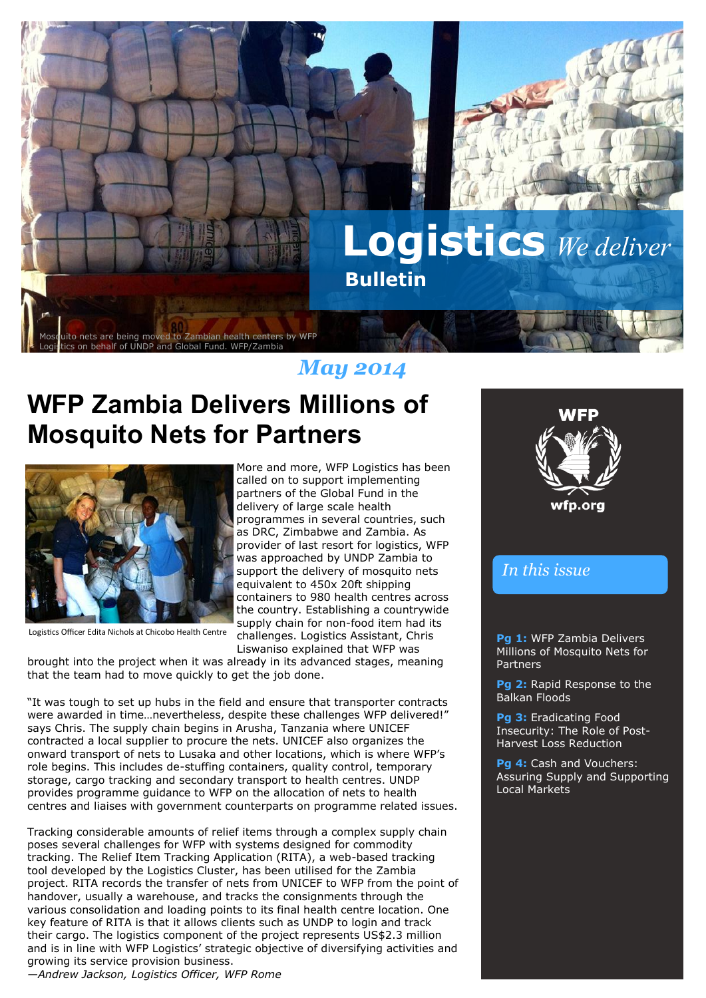

### *May 2014*

# **WFP Zambia Delivers Millions of Mosquito Nets for Partners**



Logistics Officer Edita Nichols at Chicobo Health Centre

Liswaniso explained that WFP was brought into the project when it was already in its advanced stages, meaning that the team had to move quickly to get the job done.

"It was tough to set up hubs in the field and ensure that transporter contracts were awarded in time…nevertheless, despite these challenges WFP delivered!" says Chris. The supply chain begins in Arusha, Tanzania where UNICEF contracted a local supplier to procure the nets. UNICEF also organizes the onward transport of nets to Lusaka and other locations, which is where WFP's role begins. This includes de-stuffing containers, quality control, temporary storage, cargo tracking and secondary transport to health centres. UNDP provides programme guidance to WFP on the allocation of nets to health centres and liaises with government counterparts on programme related issues.

Tracking considerable amounts of relief items through a complex supply chain poses several challenges for WFP with systems designed for commodity tracking. The Relief Item Tracking Application (RITA), a web-based tracking tool developed by the Logistics Cluster, has been utilised for the Zambia project. RITA records the transfer of nets from UNICEF to WFP from the point of handover, usually a warehouse, and tracks the consignments through the various consolidation and loading points to its final health centre location. One key feature of RITA is that it allows clients such as UNDP to login and track their cargo. The logistics component of the project represents US\$2.3 million and is in line with WFP Logistics' strategic objective of diversifying activities and growing its service provision business.

*—Andrew Jackson, Logistics Officer, WFP Rome*

More and more, WFP Logistics has been called on to support implementing partners of the Global Fund in the delivery of large scale health programmes in several countries, such as DRC, Zimbabwe and Zambia. As provider of last resort for logistics, WFP was approached by UNDP Zambia to support the delivery of mosquito nets equivalent to 450x 20ft shipping containers to 980 health centres across the country. Establishing a countrywide supply chain for non-food item had its challenges. Logistics Assistant, Chris

**Pg 1:** WFP Zambia Delivers Millions of Mosquito Nets for Partners

> **Pg 2:** Rapid Response to the Balkan Floods

*In this issue*

**Pg 3:** Eradicating Food Insecurity: The Role of Post-Harvest Loss Reduction

**Pg 4:** Cash and Vouchers: Assuring Supply and Supporting Local Markets

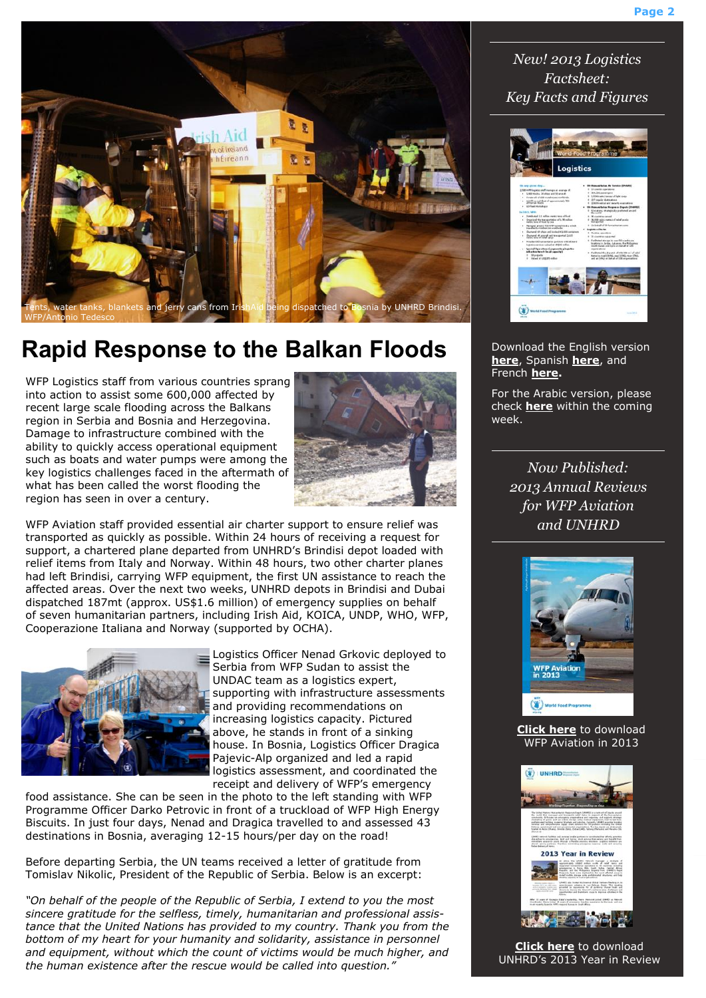

## **Rapid Response to the Balkan Floods**

WFP Logistics staff from various countries sprang into action to assist some 600,000 affected by recent large scale flooding across the Balkans region in Serbia and Bosnia and Herzegovina. Damage to infrastructure combined with the ability to quickly access operational equipment such as boats and water pumps were among the key logistics challenges faced in the aftermath of what has been called the worst flooding the region has seen in over a century.



WFP Aviation staff provided essential air charter support to ensure relief was transported as quickly as possible. Within 24 hours of receiving a request for support, a chartered plane departed from UNHRD's Brindisi depot loaded with relief items from Italy and Norway. Within 48 hours, two other charter planes had left Brindisi, carrying WFP equipment, the first UN assistance to reach the affected areas. Over the next two weeks, UNHRD depots in Brindisi and Dubai dispatched 187mt (approx. US\$1.6 million) of emergency supplies on behalf of seven humanitarian partners, including Irish Aid, KOICA, UNDP, WHO, WFP, Cooperazione Italiana and Norway (supported by OCHA).



Logistics Officer Nenad Grkovic deployed to Serbia from WFP Sudan to assist the UNDAC team as a logistics expert, supporting with infrastructure assessments and providing recommendations on increasing logistics capacity. Pictured above, he stands in front of a sinking house. In Bosnia, Logistics Officer Dragica Pajevic-Alp organized and led a rapid logistics assessment, and coordinated the receipt and delivery of WFP's emergency

food assistance. She can be seen in the photo to the left standing with WFP Programme Officer Darko Petrovic in front of a truckload of WFP High Energy Biscuits. In just four days, Nenad and Dragica travelled to and assessed 43 destinations in Bosnia, averaging 12-15 hours/per day on the road!

Before departing Serbia, the UN teams received a letter of gratitude from Tomislav Nikolic, President of the Republic of Serbia. Below is an excerpt:

*"On behalf of the people of the Republic of Serbia, I extend to you the most sincere gratitude for the selfless, timely, humanitarian and professional assistance that the United Nations has provided to my country. Thank you from the bottom of my heart for your humanity and solidarity, assistance in personnel and equipment, without which the count of victims would be much higher, and the human existence after the rescue would be called into question."*

*New! 2013 Logistics Factsheet: Key Facts and Figures*



Download the English version **[here](http://www.wfp.org/content/2013-wfp-logistics)**, Spanish **[here](http://docustore.wfp.org/stellent/groups/public/documents/webcontent/wfp265603.pdf)**, and French **[here.](http://docustore.wfp.org/stellent/groups/public/documents/webcontent/wfp265604.pdf)** 

For the Arabic version, please check **[here](http://www.wfp.org/content/2013-wfp-logistics)** within the coming week.

> *Now Published: 2013 Annual Reviews for WFP Aviation and UNHRD*



**[Click here](https://www.wfp.org/content/wfp-aviation-2013)** to download WFP Aviation in 2013



**[Click here](http://www.unhrd.org/docs/UNHRD_2013_Year_in_Review.pdf)** to download UNHRD's 2013 Year in Review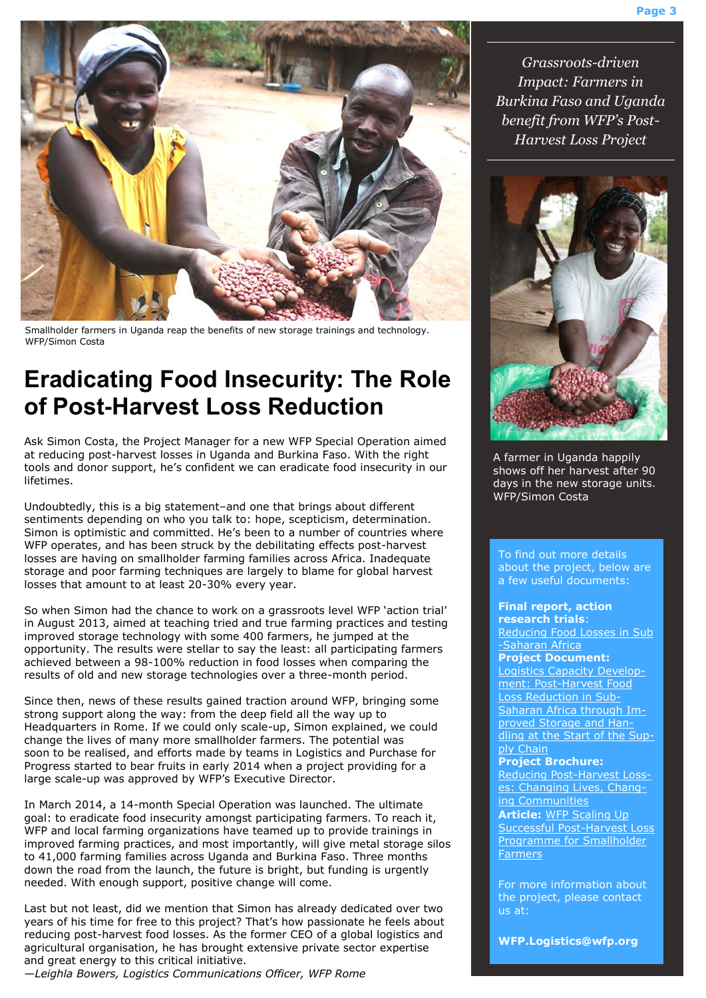

Smallholder farmers in Uganda reap the benefits of new storage trainings and technology. WFP/Simon Costa

### **Eradicating Food Insecurity: The Role of Post-Harvest Loss Reduction**

Ask Simon Costa, the Project Manager for a new WFP Special Operation aimed at reducing post-harvest losses in Uganda and Burkina Faso. With the right tools and donor support, he's confident we can eradicate food insecurity in our lifetimes.

Undoubtedly, this is a big statement–and one that brings about different sentiments depending on who you talk to: hope, scepticism, determination. Simon is optimistic and committed. He's been to a number of countries where WFP operates, and has been struck by the debilitating effects post-harvest losses are having on smallholder farming families across Africa. Inadequate storage and poor farming techniques are largely to blame for global harvest losses that amount to at least 20-30% every year.

So when Simon had the chance to work on a grassroots level WFP 'action trial' in August 2013, aimed at teaching tried and true farming practices and testing improved storage technology with some 400 farmers, he jumped at the opportunity. The results were stellar to say the least: all participating farmers achieved between a 98-100% reduction in food losses when comparing the results of old and new storage technologies over a three-month period.

Since then, news of these results gained traction around WFP, bringing some strong support along the way: from the deep field all the way up to Headquarters in Rome. If we could only scale-up, Simon explained, we could change the lives of many more smallholder farmers. The potential was soon to be realised, and efforts made by teams in Logistics and Purchase for Progress started to bear fruits in early 2014 when a project providing for a large scale-up was approved by WFP's Executive Director.

In March 2014, a 14-month Special Operation was launched. The ultimate goal: to eradicate food insecurity amongst participating farmers. To reach it, WFP and local farming organizations have teamed up to provide trainings in improved farming practices, and most importantly, will give metal storage silos to 41,000 farming families across Uganda and Burkina Faso. Three months down the road from the launch, the future is bright, but funding is urgently needed. With enough support, positive change will come.

Last but not least, did we mention that Simon has already dedicated over two years of his time for free to this project? That's how passionate he feels about reducing post-harvest food losses. As the former CEO of a global logistics and agricultural organisation, he has brought extensive private sector expertise and great energy to this critical initiative.

*—Leighla Bowers, Logistics Communications Officer, WFP Rome*

*Grassroots-driven Impact: Farmers in Burkina Faso and Uganda benefit from WFP's Post-Harvest Loss Project*



A farmer in Uganda happily shows off her harvest after 90 days in the new storage units. WFP/Simon Costa

To find out more details about the project, below are a few useful documents:

#### **Final report, action research trials**:

[Reducing Food Losses in Sub](http://documents.wfp.org/stellent/groups/public/documents/special_initiatives/WFP265205.pdf) [-Saharan Africa](http://documents.wfp.org/stellent/groups/public/documents/special_initiatives/WFP265205.pdf)

### **Project Document:**

[Logistics Capacity Develop](http://www.wfp.org/content/logistics-capacity-development-post-harvest-food-loss-reduction-sub-saharan-africa-through-i)[ment: Post-Harvest Food](http://www.wfp.org/content/logistics-capacity-development-post-harvest-food-loss-reduction-sub-saharan-africa-through-i)  [Loss Reduction in Sub-](http://www.wfp.org/content/logistics-capacity-development-post-harvest-food-loss-reduction-sub-saharan-africa-through-i)[Saharan Africa through Im](http://www.wfp.org/content/logistics-capacity-development-post-harvest-food-loss-reduction-sub-saharan-africa-through-i)[proved Storage and Han](http://www.wfp.org/content/logistics-capacity-development-post-harvest-food-loss-reduction-sub-saharan-africa-through-i)[dling at the Start of the Sup](http://www.wfp.org/content/logistics-capacity-development-post-harvest-food-loss-reduction-sub-saharan-africa-through-i)[ply Chain](http://www.wfp.org/content/logistics-capacity-development-post-harvest-food-loss-reduction-sub-saharan-africa-through-i)

#### **Project Brochure:**

[Reducing Post-Harvest Loss](http://docustore.wfp.org/stellent/groups/public/documents/webcontent/wfp265373.pdf)[es: Changing Lives, Chang](http://docustore.wfp.org/stellent/groups/public/documents/webcontent/wfp265373.pdf)[ing Communities](http://docustore.wfp.org/stellent/groups/public/documents/webcontent/wfp265373.pdf) **Article:** [WFP Scaling Up](http://www.wfp.org/purchase-progress/news/blog/wfp-scaling-successful-post-harvest-programme-smallholder-farmers)  [Successful Post-Harvest Loss](http://www.wfp.org/purchase-progress/news/blog/wfp-scaling-successful-post-harvest-programme-smallholder-farmers)  [Programme for Smallholder](http://www.wfp.org/purchase-progress/news/blog/wfp-scaling-successful-post-harvest-programme-smallholder-farmers)  [Farmers](http://www.wfp.org/purchase-progress/news/blog/wfp-scaling-successful-post-harvest-programme-smallholder-farmers)

For more information about the project, please contact us at:

**WFP.Logistics@wfp.org**